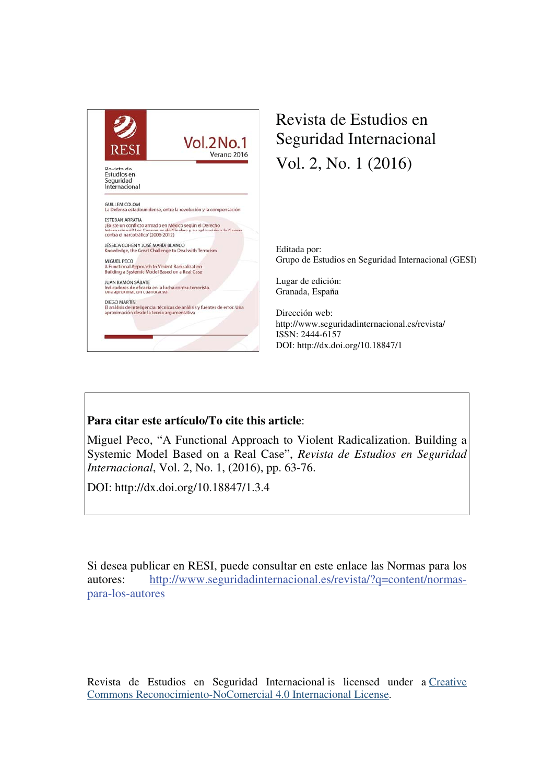

# Revista de Estudios en Seguridad Internacional Vol. 2, No. 1 (2016)

Editada por: Grupo de Estudios en Seguridad Internacional (GESI)

Lugar de edición: Granada, España

Dirección web: http://www.seguridadinternacional.es/revista/ ISSN: 2444-6157 DOI: http://dx.doi.org/10.18847/1

### **Para citar este artículo/To cite this article**:

Miguel Peco, "A Functional Approach to Violent Radicalization. Building a Systemic Model Based on a Real Case", *Revista de Estudios en Seguridad Internacional*, Vol. 2, No. 1, (2016), pp. 63-76.

DOI: http://dx.doi.org/10.18847/1.3.4

Si desea publicar en RESI, puede consultar en este enlace las Normas para los autores: http://www.seguridadinternacional.es/revista/?q=content/normaspara-los-autores

Revista de Estudios en Seguridad Internacional is licensed under a Creative Commons Reconocimiento-NoComercial 4.0 Internacional License.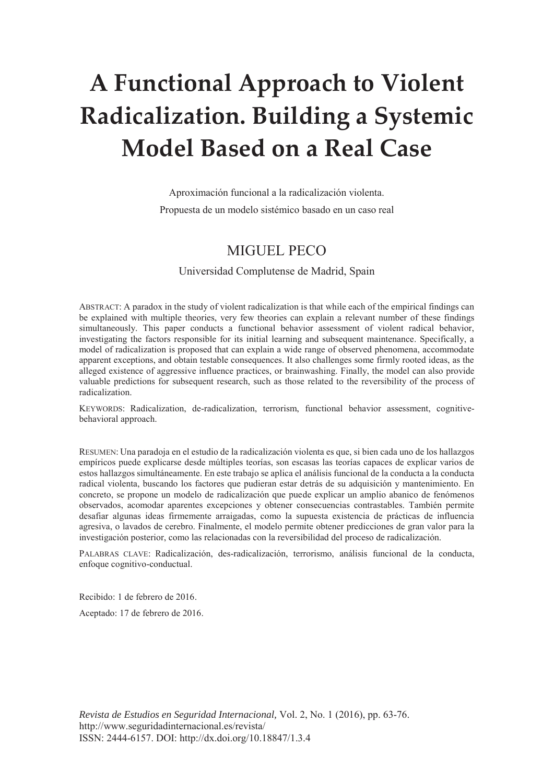# **A Functional Approach to Violent Radicalization. Building a Systemic Model Based on a Real Case**

Aproximación funcional a la radicalización violenta.

Propuesta de un modelo sistémico basado en un caso real

## MIGUEL PECO

#### Universidad Complutense de Madrid, Spain

ABSTRACT: A paradox in the study of violent radicalization is that while each of the empirical findings can be explained with multiple theories, very few theories can explain a relevant number of these findings simultaneously. This paper conducts a functional behavior assessment of violent radical behavior, investigating the factors responsible for its initial learning and subsequent maintenance. Specifically, a model of radicalization is proposed that can explain a wide range of observed phenomena, accommodate apparent exceptions, and obtain testable consequences. It also challenges some firmly rooted ideas, as the alleged existence of aggressive influence practices, or brainwashing. Finally, the model can also provide valuable predictions for subsequent research, such as those related to the reversibility of the process of radicalization.

KEYWORDS: Radicalization, de-radicalization, terrorism, functional behavior assessment, cognitivebehavioral approach.

RESUMEN: Una paradoja en el estudio de la radicalización violenta es que, si bien cada uno de los hallazgos empíricos puede explicarse desde múltiples teorías, son escasas las teorías capaces de explicar varios de estos hallazgos simultáneamente. En este trabajo se aplica el análisis funcional de la conducta a la conducta radical violenta, buscando los factores que pudieran estar detrás de su adquisición y mantenimiento. En concreto, se propone un modelo de radicalización que puede explicar un amplio abanico de fenómenos observados, acomodar aparentes excepciones y obtener consecuencias contrastables. También permite desafiar algunas ideas firmemente arraigadas, como la supuesta existencia de prácticas de influencia agresiva, o lavados de cerebro. Finalmente, el modelo permite obtener predicciones de gran valor para la investigación posterior, como las relacionadas con la reversibilidad del proceso de radicalización.

PALABRAS CLAVE: Radicalización, des-radicalización, terrorismo, análisis funcional de la conducta, enfoque cognitivo-conductual.

Recibido: 1 de febrero de 2016.

Aceptado: 17 de febrero de 2016.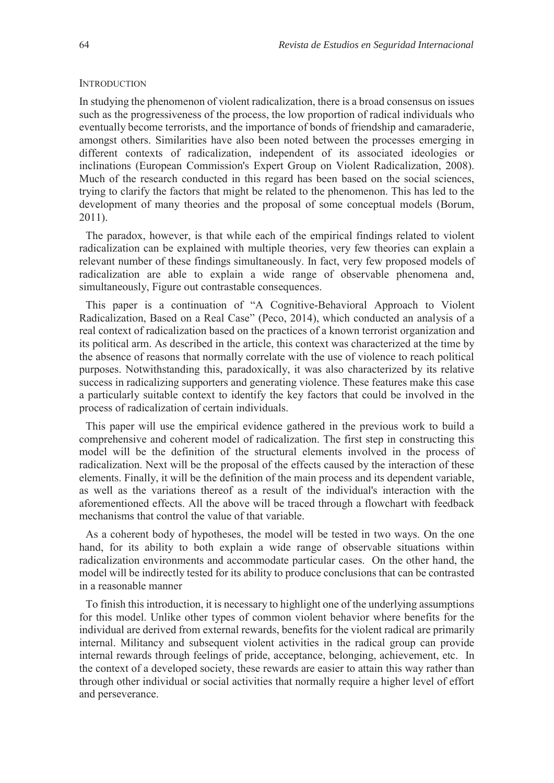#### **INTRODUCTION**

In studying the phenomenon of violent radicalization, there is a broad consensus on issues such as the progressiveness of the process, the low proportion of radical individuals who eventually become terrorists, and the importance of bonds of friendship and camaraderie, amongst others. Similarities have also been noted between the processes emerging in different contexts of radicalization, independent of its associated ideologies or inclinations (European Commission's Expert Group on Violent Radicalization, 2008). Much of the research conducted in this regard has been based on the social sciences, trying to clarify the factors that might be related to the phenomenon. This has led to the development of many theories and the proposal of some conceptual models (Borum, 2011).

The paradox, however, is that while each of the empirical findings related to violent radicalization can be explained with multiple theories, very few theories can explain a relevant number of these findings simultaneously. In fact, very few proposed models of radicalization are able to explain a wide range of observable phenomena and, simultaneously, Figure out contrastable consequences.

This paper is a continuation of "A Cognitive-Behavioral Approach to Violent Radicalization, Based on a Real Case" (Peco, 2014), which conducted an analysis of a real context of radicalization based on the practices of a known terrorist organization and its political arm. As described in the article, this context was characterized at the time by the absence of reasons that normally correlate with the use of violence to reach political purposes. Notwithstanding this, paradoxically, it was also characterized by its relative success in radicalizing supporters and generating violence. These features make this case a particularly suitable context to identify the key factors that could be involved in the process of radicalization of certain individuals.

This paper will use the empirical evidence gathered in the previous work to build a comprehensive and coherent model of radicalization. The first step in constructing this model will be the definition of the structural elements involved in the process of radicalization. Next will be the proposal of the effects caused by the interaction of these elements. Finally, it will be the definition of the main process and its dependent variable, as well as the variations thereof as a result of the individual's interaction with the aforementioned effects. All the above will be traced through a flowchart with feedback mechanisms that control the value of that variable.

As a coherent body of hypotheses, the model will be tested in two ways. On the one hand, for its ability to both explain a wide range of observable situations within radicalization environments and accommodate particular cases. On the other hand, the model will be indirectly tested for its ability to produce conclusions that can be contrasted in a reasonable manner

To finish this introduction, it is necessary to highlight one of the underlying assumptions for this model. Unlike other types of common violent behavior where benefits for the individual are derived from external rewards, benefits for the violent radical are primarily internal. Militancy and subsequent violent activities in the radical group can provide internal rewards through feelings of pride, acceptance, belonging, achievement, etc. In the context of a developed society, these rewards are easier to attain this way rather than through other individual or social activities that normally require a higher level of effort and perseverance.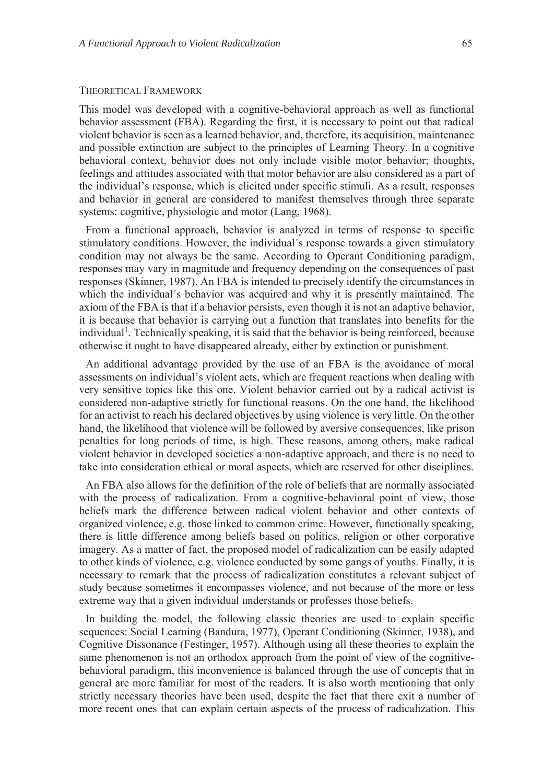#### THEORETICAL FRAMEWORK

This model was developed with a cognitive-behavioral approach as well as functional behavior assessment (FBA). Regarding the first, it is necessary to point out that radical violent behavior is seen as a learned behavior, and, therefore, its acquisition, maintenance and possible extinction are subject to the principles of Learning Theory. In a cognitive behavioral context, behavior does not only include visible motor behavior; thoughts, feelings and attitudes associated with that motor behavior are also considered as a part of the individual's response, which is elicited under specific stimuli. As a result, responses and behavior in general are considered to manifest themselves through three separate systems: cognitive, physiologic and motor (Lang, 1968).

From a functional approach, behavior is analyzed in terms of response to specific stimulatory conditions. However, the individual´s response towards a given stimulatory condition may not always be the same. According to Operant Conditioning paradigm, responses may vary in magnitude and frequency depending on the consequences of past responses (Skinner, 1987). An FBA is intended to precisely identify the circumstances in which the individual´s behavior was acquired and why it is presently maintained. The axiom of the FBA is that if a behavior persists, even though it is not an adaptive behavior, it is because that behavior is carrying out a function that translates into benefits for the individual<sup>1</sup>. Technically speaking, it is said that the behavior is being reinforced, because otherwise it ought to have disappeared already, either by extinction or punishment.

An additional advantage provided by the use of an FBA is the avoidance of moral assessments on individual's violent acts, which are frequent reactions when dealing with very sensitive topics like this one. Violent behavior carried out by a radical activist is considered non-adaptive strictly for functional reasons. On the one hand, the likelihood for an activist to reach his declared objectives by using violence is very little. On the other hand, the likelihood that violence will be followed by aversive consequences, like prison penalties for long periods of time, is high. These reasons, among others, make radical violent behavior in developed societies a non-adaptive approach, and there is no need to take into consideration ethical or moral aspects, which are reserved for other disciplines.

An FBA also allows for the definition of the role of beliefs that are normally associated with the process of radicalization. From a cognitive-behavioral point of view, those beliefs mark the difference between radical violent behavior and other contexts of organized violence, e.g. those linked to common crime. However, functionally speaking, there is little difference among beliefs based on politics, religion or other corporative imagery. As a matter of fact, the proposed model of radicalization can be easily adapted to other kinds of violence, e.g. violence conducted by some gangs of youths. Finally, it is necessary to remark that the process of radicalization constitutes a relevant subject of study because sometimes it encompasses violence, and not because of the more or less extreme way that a given individual understands or professes those beliefs.

In building the model, the following classic theories are used to explain specific sequences: Social Learning (Bandura, 1977), Operant Conditioning (Skinner, 1938), and Cognitive Dissonance (Festinger, 1957). Although using all these theories to explain the same phenomenon is not an orthodox approach from the point of view of the cognitivebehavioral paradigm, this inconvenience is balanced through the use of concepts that in general are more familiar for most of the readers. It is also worth mentioning that only strictly necessary theories have been used, despite the fact that there exit a number of more recent ones that can explain certain aspects of the process of radicalization. This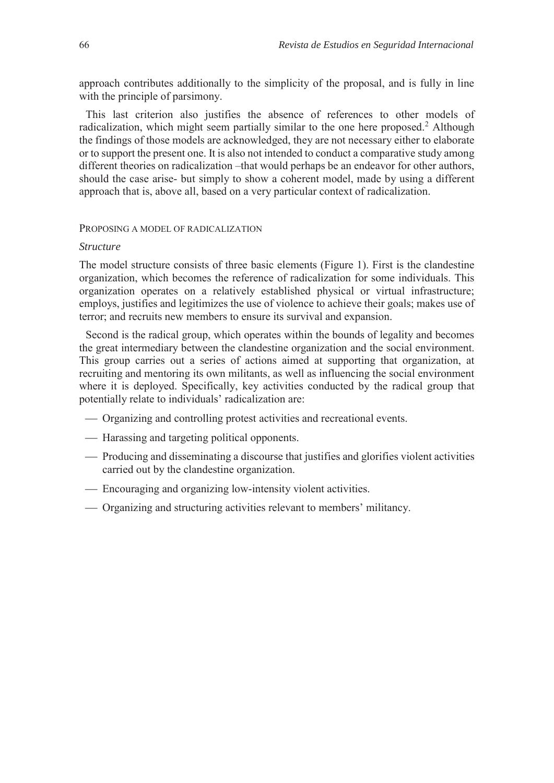approach contributes additionally to the simplicity of the proposal, and is fully in line with the principle of parsimony.

This last criterion also justifies the absence of references to other models of radicalization, which might seem partially similar to the one here proposed.<sup>2</sup> Although the findings of those models are acknowledged, they are not necessary either to elaborate or to support the present one. It is also not intended to conduct a comparative study among different theories on radicalization –that would perhaps be an endeavor for other authors, should the case arise- but simply to show a coherent model, made by using a different approach that is, above all, based on a very particular context of radicalization.

#### PROPOSING A MODEL OF RADICALIZATION

#### *Structure*

The model structure consists of three basic elements (Figure 1). First is the clandestine organization, which becomes the reference of radicalization for some individuals. This organization operates on a relatively established physical or virtual infrastructure; employs, justifies and legitimizes the use of violence to achieve their goals; makes use of terror; and recruits new members to ensure its survival and expansion.

Second is the radical group, which operates within the bounds of legality and becomes the great intermediary between the clandestine organization and the social environment. This group carries out a series of actions aimed at supporting that organization, at recruiting and mentoring its own militants, as well as influencing the social environment where it is deployed. Specifically, key activities conducted by the radical group that potentially relate to individuals' radicalization are:

- Organizing and controlling protest activities and recreational events.
- Harassing and targeting political opponents.
- Producing and disseminating a discourse that justifies and glorifies violent activities carried out by the clandestine organization.
- Encouraging and organizing low-intensity violent activities.
- Organizing and structuring activities relevant to members' militancy.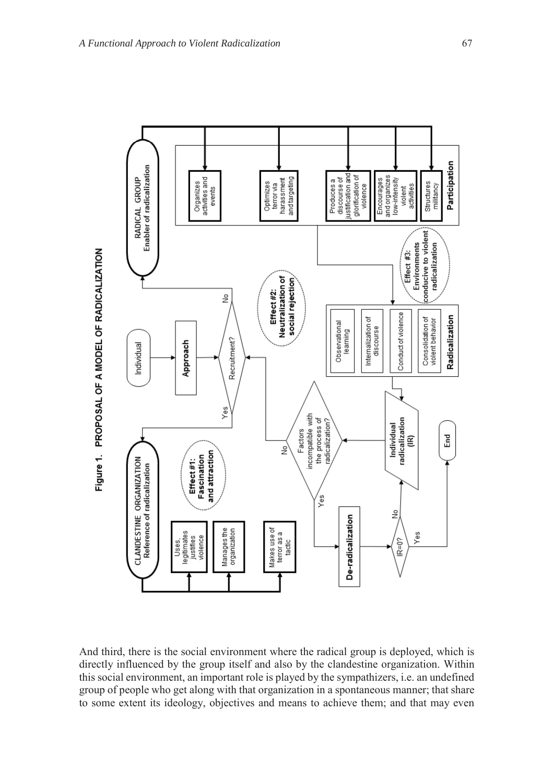

And third, there is the social environment where the radical group is deployed, which is directly influenced by the group itself and also by the clandestine organization. Within this social environment, an important role is played by the sympathizers, i.e. an undefined group of people who get along with that organization in a spontaneous manner; that share to some extent its ideology, objectives and means to achieve them; and that may even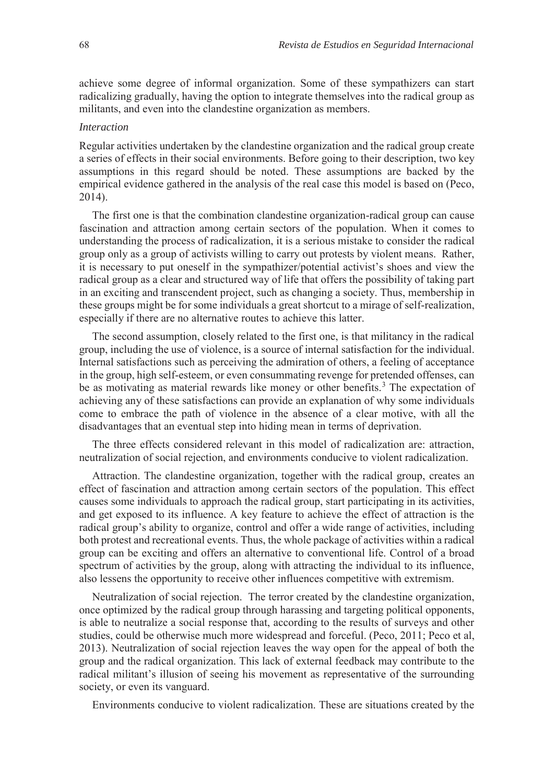achieve some degree of informal organization. Some of these sympathizers can start radicalizing gradually, having the option to integrate themselves into the radical group as militants, and even into the clandestine organization as members.

#### *Interaction*

Regular activities undertaken by the clandestine organization and the radical group create a series of effects in their social environments. Before going to their description, two key assumptions in this regard should be noted. These assumptions are backed by the empirical evidence gathered in the analysis of the real case this model is based on (Peco, 2014).

The first one is that the combination clandestine organization-radical group can cause fascination and attraction among certain sectors of the population. When it comes to understanding the process of radicalization, it is a serious mistake to consider the radical group only as a group of activists willing to carry out protests by violent means. Rather, it is necessary to put oneself in the sympathizer/potential activist's shoes and view the radical group as a clear and structured way of life that offers the possibility of taking part in an exciting and transcendent project, such as changing a society. Thus, membership in these groups might be for some individuals a great shortcut to a mirage of self-realization, especially if there are no alternative routes to achieve this latter.

The second assumption, closely related to the first one, is that militancy in the radical group, including the use of violence, is a source of internal satisfaction for the individual. Internal satisfactions such as perceiving the admiration of others, a feeling of acceptance in the group, high self-esteem, or even consummating revenge for pretended offenses, can be as motivating as material rewards like money or other benefits.<sup>3</sup> The expectation of achieving any of these satisfactions can provide an explanation of why some individuals come to embrace the path of violence in the absence of a clear motive, with all the disadvantages that an eventual step into hiding mean in terms of deprivation.

The three effects considered relevant in this model of radicalization are: attraction, neutralization of social rejection, and environments conducive to violent radicalization.

Attraction. The clandestine organization, together with the radical group, creates an effect of fascination and attraction among certain sectors of the population. This effect causes some individuals to approach the radical group, start participating in its activities, and get exposed to its influence. A key feature to achieve the effect of attraction is the radical group's ability to organize, control and offer a wide range of activities, including both protest and recreational events. Thus, the whole package of activities within a radical group can be exciting and offers an alternative to conventional life. Control of a broad spectrum of activities by the group, along with attracting the individual to its influence, also lessens the opportunity to receive other influences competitive with extremism.

Neutralization of social rejection. The terror created by the clandestine organization, once optimized by the radical group through harassing and targeting political opponents, is able to neutralize a social response that, according to the results of surveys and other studies, could be otherwise much more widespread and forceful. (Peco, 2011; Peco et al, 2013). Neutralization of social rejection leaves the way open for the appeal of both the group and the radical organization. This lack of external feedback may contribute to the radical militant's illusion of seeing his movement as representative of the surrounding society, or even its vanguard.

Environments conducive to violent radicalization. These are situations created by the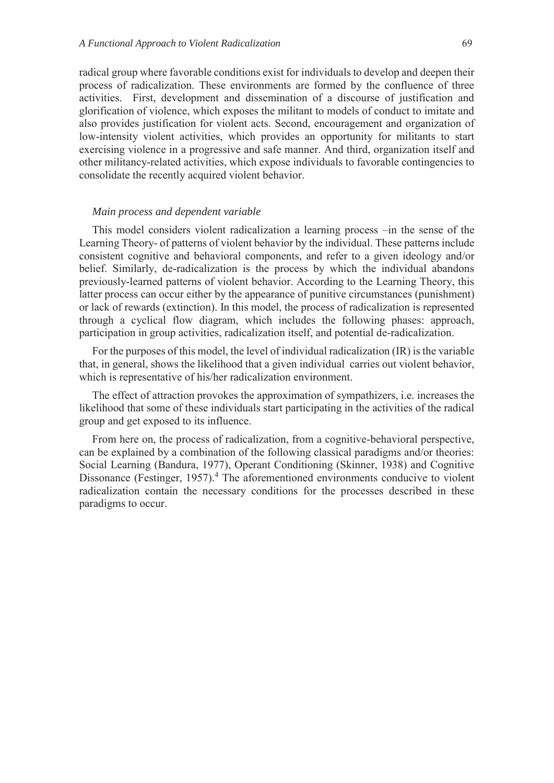radical group where favorable conditions exist for individuals to develop and deepen their process of radicalization. These environments are formed by the confluence of three activities. First, development and dissemination of a discourse of justification and glorification of violence, which exposes the militant to models of conduct to imitate and also provides justification for violent acts. Second, encouragement and organization of low-intensity violent activities, which provides an opportunity for militants to start exercising violence in a progressive and safe manner. And third, organization itself and other militancy-related activities, which expose individuals to favorable contingencies to consolidate the recently acquired violent behavior.

#### *Main process and dependent variable*

This model considers violent radicalization a learning process –in the sense of the Learning Theory- of patterns of violent behavior by the individual. These patterns include consistent cognitive and behavioral components, and refer to a given ideology and/or belief. Similarly, de-radicalization is the process by which the individual abandons previously-learned patterns of violent behavior. According to the Learning Theory, this latter process can occur either by the appearance of punitive circumstances (punishment) or lack of rewards (extinction). In this model, the process of radicalization is represented through a cyclical flow diagram, which includes the following phases: approach, participation in group activities, radicalization itself, and potential de-radicalization.

For the purposes of this model, the level of individual radicalization (IR) is the variable that, in general, shows the likelihood that a given individual carries out violent behavior, which is representative of his/her radicalization environment.

The effect of attraction provokes the approximation of sympathizers, i.e. increases the likelihood that some of these individuals start participating in the activities of the radical group and get exposed to its influence.

From here on, the process of radicalization, from a cognitive-behavioral perspective, can be explained by a combination of the following classical paradigms and/or theories: Social Learning (Bandura, 1977), Operant Conditioning (Skinner, 1938) and Cognitive Dissonance (Festinger, 1957).<sup>4</sup> The aforementioned environments conducive to violent radicalization contain the necessary conditions for the processes described in these paradigms to occur.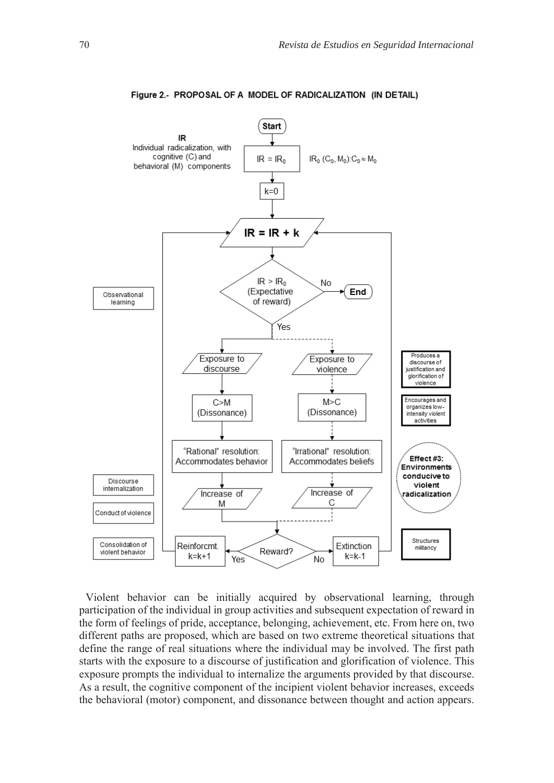

#### Figure 2.- PROPOSAL OF A MODEL OF RADICALIZATION (IN DETAIL)

Violent behavior can be initially acquired by observational learning, through participation of the individual in group activities and subsequent expectation of reward in the form of feelings of pride, acceptance, belonging, achievement, etc. From here on, two different paths are proposed, which are based on two extreme theoretical situations that define the range of real situations where the individual may be involved. The first path starts with the exposure to a discourse of justification and glorification of violence. This exposure prompts the individual to internalize the arguments provided by that discourse. As a result, the cognitive component of the incipient violent behavior increases, exceeds the behavioral (motor) component, and dissonance between thought and action appears.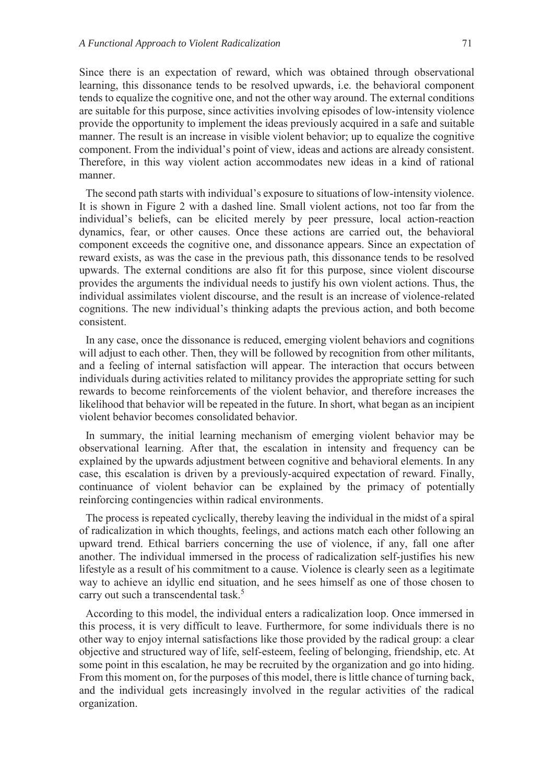Since there is an expectation of reward, which was obtained through observational learning, this dissonance tends to be resolved upwards, i.e. the behavioral component tends to equalize the cognitive one, and not the other way around. The external conditions are suitable for this purpose, since activities involving episodes of low-intensity violence provide the opportunity to implement the ideas previously acquired in a safe and suitable manner. The result is an increase in visible violent behavior; up to equalize the cognitive component. From the individual's point of view, ideas and actions are already consistent. Therefore, in this way violent action accommodates new ideas in a kind of rational manner.

The second path starts with individual's exposure to situations of low-intensity violence. It is shown in Figure 2 with a dashed line. Small violent actions, not too far from the individual's beliefs, can be elicited merely by peer pressure, local action-reaction dynamics, fear, or other causes. Once these actions are carried out, the behavioral component exceeds the cognitive one, and dissonance appears. Since an expectation of reward exists, as was the case in the previous path, this dissonance tends to be resolved upwards. The external conditions are also fit for this purpose, since violent discourse provides the arguments the individual needs to justify his own violent actions. Thus, the individual assimilates violent discourse, and the result is an increase of violence-related cognitions. The new individual's thinking adapts the previous action, and both become consistent.

In any case, once the dissonance is reduced, emerging violent behaviors and cognitions will adjust to each other. Then, they will be followed by recognition from other militants, and a feeling of internal satisfaction will appear. The interaction that occurs between individuals during activities related to militancy provides the appropriate setting for such rewards to become reinforcements of the violent behavior, and therefore increases the likelihood that behavior will be repeated in the future. In short, what began as an incipient violent behavior becomes consolidated behavior.

In summary, the initial learning mechanism of emerging violent behavior may be observational learning. After that, the escalation in intensity and frequency can be explained by the upwards adjustment between cognitive and behavioral elements. In any case, this escalation is driven by a previously-acquired expectation of reward. Finally, continuance of violent behavior can be explained by the primacy of potentially reinforcing contingencies within radical environments.

The process is repeated cyclically, thereby leaving the individual in the midst of a spiral of radicalization in which thoughts, feelings, and actions match each other following an upward trend. Ethical barriers concerning the use of violence, if any, fall one after another. The individual immersed in the process of radicalization self-justifies his new lifestyle as a result of his commitment to a cause. Violence is clearly seen as a legitimate way to achieve an idyllic end situation, and he sees himself as one of those chosen to carry out such a transcendental task.<sup>5</sup>

According to this model, the individual enters a radicalization loop. Once immersed in this process, it is very difficult to leave. Furthermore, for some individuals there is no other way to enjoy internal satisfactions like those provided by the radical group: a clear objective and structured way of life, self-esteem, feeling of belonging, friendship, etc. At some point in this escalation, he may be recruited by the organization and go into hiding. From this moment on, for the purposes of this model, there is little chance of turning back, and the individual gets increasingly involved in the regular activities of the radical organization.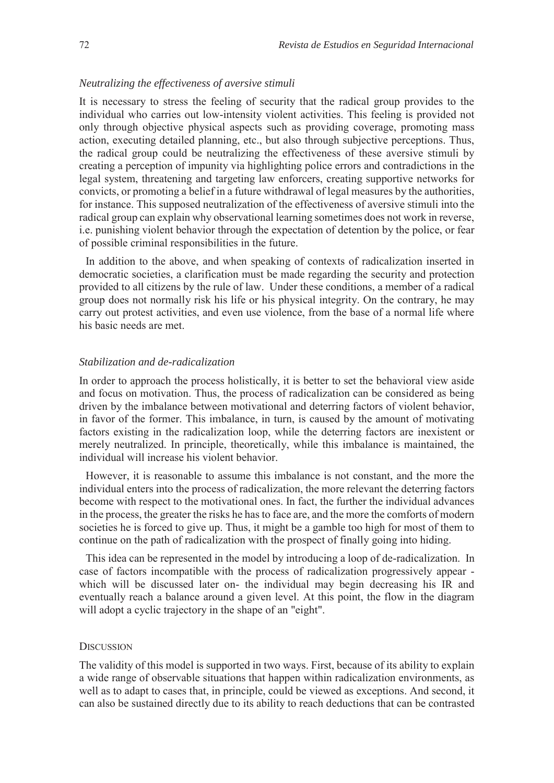#### *Neutralizing the effectiveness of aversive stimuli*

It is necessary to stress the feeling of security that the radical group provides to the individual who carries out low-intensity violent activities. This feeling is provided not only through objective physical aspects such as providing coverage, promoting mass action, executing detailed planning, etc., but also through subjective perceptions. Thus, the radical group could be neutralizing the effectiveness of these aversive stimuli by creating a perception of impunity via highlighting police errors and contradictions in the legal system, threatening and targeting law enforcers, creating supportive networks for convicts, or promoting a belief in a future withdrawal of legal measures by the authorities, for instance. This supposed neutralization of the effectiveness of aversive stimuli into the radical group can explain why observational learning sometimes does not work in reverse, i.e. punishing violent behavior through the expectation of detention by the police, or fear of possible criminal responsibilities in the future.

In addition to the above, and when speaking of contexts of radicalization inserted in democratic societies, a clarification must be made regarding the security and protection provided to all citizens by the rule of law. Under these conditions, a member of a radical group does not normally risk his life or his physical integrity. On the contrary, he may carry out protest activities, and even use violence, from the base of a normal life where his basic needs are met.

#### *Stabilization and de-radicalization*

In order to approach the process holistically, it is better to set the behavioral view aside and focus on motivation. Thus, the process of radicalization can be considered as being driven by the imbalance between motivational and deterring factors of violent behavior, in favor of the former. This imbalance, in turn, is caused by the amount of motivating factors existing in the radicalization loop, while the deterring factors are inexistent or merely neutralized. In principle, theoretically, while this imbalance is maintained, the individual will increase his violent behavior.

However, it is reasonable to assume this imbalance is not constant, and the more the individual enters into the process of radicalization, the more relevant the deterring factors become with respect to the motivational ones. In fact, the further the individual advances in the process, the greater the risks he has to face are, and the more the comforts of modern societies he is forced to give up. Thus, it might be a gamble too high for most of them to continue on the path of radicalization with the prospect of finally going into hiding.

This idea can be represented in the model by introducing a loop of de-radicalization. In case of factors incompatible with the process of radicalization progressively appear which will be discussed later on- the individual may begin decreasing his IR and eventually reach a balance around a given level. At this point, the flow in the diagram will adopt a cyclic trajectory in the shape of an "eight".

#### **DISCUSSION**

The validity of this model is supported in two ways. First, because of its ability to explain a wide range of observable situations that happen within radicalization environments, as well as to adapt to cases that, in principle, could be viewed as exceptions. And second, it can also be sustained directly due to its ability to reach deductions that can be contrasted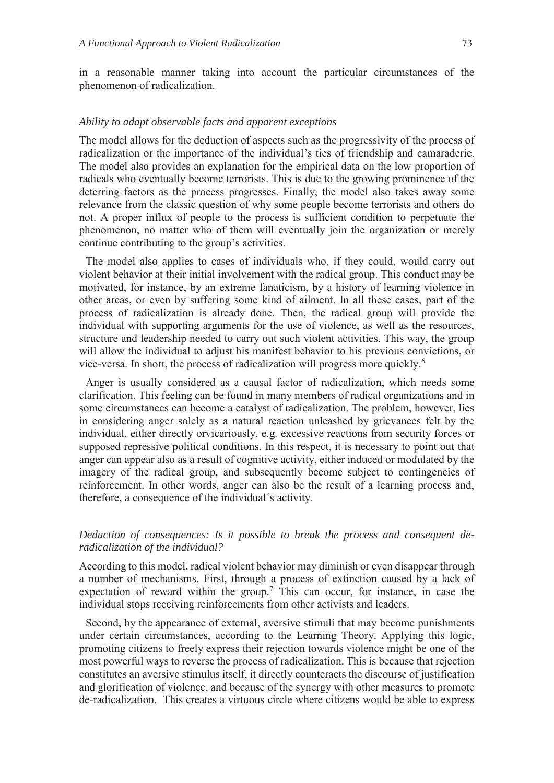in a reasonable manner taking into account the particular circumstances of the phenomenon of radicalization.

#### *Ability to adapt observable facts and apparent exceptions*

The model allows for the deduction of aspects such as the progressivity of the process of radicalization or the importance of the individual's ties of friendship and camaraderie. The model also provides an explanation for the empirical data on the low proportion of radicals who eventually become terrorists. This is due to the growing prominence of the deterring factors as the process progresses. Finally, the model also takes away some relevance from the classic question of why some people become terrorists and others do not. A proper influx of people to the process is sufficient condition to perpetuate the phenomenon, no matter who of them will eventually join the organization or merely continue contributing to the group's activities.

The model also applies to cases of individuals who, if they could, would carry out violent behavior at their initial involvement with the radical group. This conduct may be motivated, for instance, by an extreme fanaticism, by a history of learning violence in other areas, or even by suffering some kind of ailment. In all these cases, part of the process of radicalization is already done. Then, the radical group will provide the individual with supporting arguments for the use of violence, as well as the resources, structure and leadership needed to carry out such violent activities. This way, the group will allow the individual to adjust his manifest behavior to his previous convictions, or vice-versa. In short, the process of radicalization will progress more quickly.<sup>6</sup>

Anger is usually considered as a causal factor of radicalization, which needs some clarification. This feeling can be found in many members of radical organizations and in some circumstances can become a catalyst of radicalization. The problem, however, lies in considering anger solely as a natural reaction unleashed by grievances felt by the individual, either directly orvicariously, e.g. excessive reactions from security forces or supposed repressive political conditions. In this respect, it is necessary to point out that anger can appear also as a result of cognitive activity, either induced or modulated by the imagery of the radical group, and subsequently become subject to contingencies of reinforcement. In other words, anger can also be the result of a learning process and, therefore, a consequence of the individual´s activity.

#### *Deduction of consequences: Is it possible to break the process and consequent deradicalization of the individual?*

According to this model, radical violent behavior may diminish or even disappear through a number of mechanisms. First, through a process of extinction caused by a lack of expectation of reward within the group.<sup>7</sup> This can occur, for instance, in case the individual stops receiving reinforcements from other activists and leaders.

Second, by the appearance of external, aversive stimuli that may become punishments under certain circumstances, according to the Learning Theory. Applying this logic, promoting citizens to freely express their rejection towards violence might be one of the most powerful ways to reverse the process of radicalization. This is because that rejection constitutes an aversive stimulus itself, it directly counteracts the discourse of justification and glorification of violence, and because of the synergy with other measures to promote de-radicalization. This creates a virtuous circle where citizens would be able to express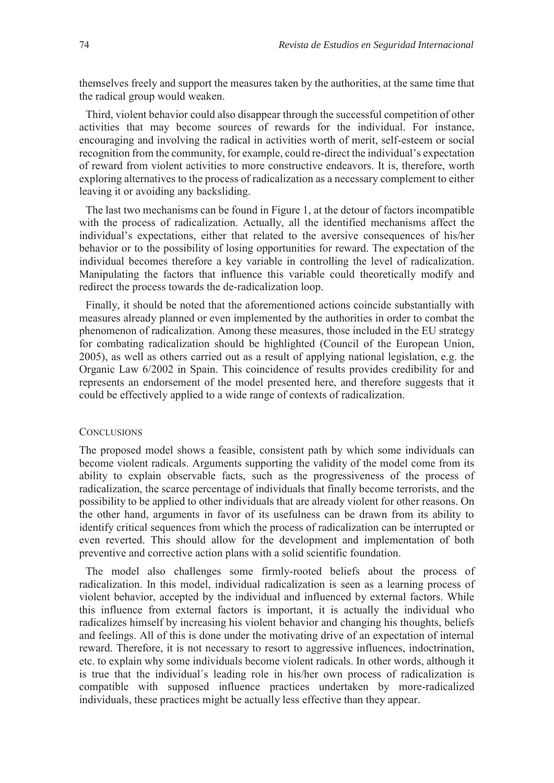themselves freely and support the measures taken by the authorities, at the same time that the radical group would weaken.

Third, violent behavior could also disappear through the successful competition of other activities that may become sources of rewards for the individual. For instance, encouraging and involving the radical in activities worth of merit, self-esteem or social recognition from the community, for example, could re-direct the individual's expectation of reward from violent activities to more constructive endeavors. It is, therefore, worth exploring alternatives to the process of radicalization as a necessary complement to either leaving it or avoiding any backsliding.

The last two mechanisms can be found in Figure 1, at the detour of factors incompatible with the process of radicalization. Actually, all the identified mechanisms affect the individual's expectations, either that related to the aversive consequences of his/her behavior or to the possibility of losing opportunities for reward. The expectation of the individual becomes therefore a key variable in controlling the level of radicalization. Manipulating the factors that influence this variable could theoretically modify and redirect the process towards the de-radicalization loop.

Finally, it should be noted that the aforementioned actions coincide substantially with measures already planned or even implemented by the authorities in order to combat the phenomenon of radicalization. Among these measures, those included in the EU strategy for combating radicalization should be highlighted (Council of the European Union, 2005), as well as others carried out as a result of applying national legislation, e.g. the Organic Law 6/2002 in Spain. This coincidence of results provides credibility for and represents an endorsement of the model presented here, and therefore suggests that it could be effectively applied to a wide range of contexts of radicalization.

#### **CONCLUSIONS**

The proposed model shows a feasible, consistent path by which some individuals can become violent radicals. Arguments supporting the validity of the model come from its ability to explain observable facts, such as the progressiveness of the process of radicalization, the scarce percentage of individuals that finally become terrorists, and the possibility to be applied to other individuals that are already violent for other reasons. On the other hand, arguments in favor of its usefulness can be drawn from its ability to identify critical sequences from which the process of radicalization can be interrupted or even reverted. This should allow for the development and implementation of both preventive and corrective action plans with a solid scientific foundation.

The model also challenges some firmly-rooted beliefs about the process of radicalization. In this model, individual radicalization is seen as a learning process of violent behavior, accepted by the individual and influenced by external factors. While this influence from external factors is important, it is actually the individual who radicalizes himself by increasing his violent behavior and changing his thoughts, beliefs and feelings. All of this is done under the motivating drive of an expectation of internal reward. Therefore, it is not necessary to resort to aggressive influences, indoctrination, etc. to explain why some individuals become violent radicals. In other words, although it is true that the individual´s leading role in his/her own process of radicalization is compatible with supposed influence practices undertaken by more-radicalized individuals, these practices might be actually less effective than they appear.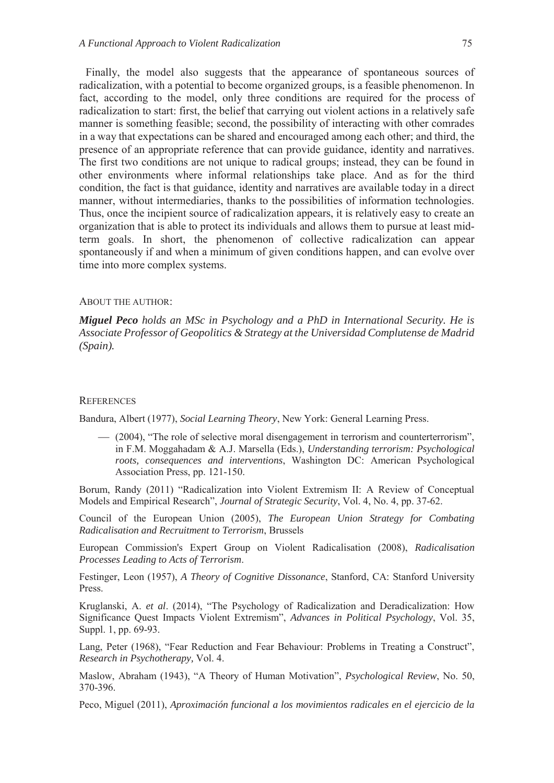Finally, the model also suggests that the appearance of spontaneous sources of radicalization, with a potential to become organized groups, is a feasible phenomenon. In fact, according to the model, only three conditions are required for the process of radicalization to start: first, the belief that carrying out violent actions in a relatively safe manner is something feasible; second, the possibility of interacting with other comrades in a way that expectations can be shared and encouraged among each other; and third, the presence of an appropriate reference that can provide guidance, identity and narratives. The first two conditions are not unique to radical groups; instead, they can be found in other environments where informal relationships take place. And as for the third condition, the fact is that guidance, identity and narratives are available today in a direct manner, without intermediaries, thanks to the possibilities of information technologies. Thus, once the incipient source of radicalization appears, it is relatively easy to create an organization that is able to protect its individuals and allows them to pursue at least midterm goals. In short, the phenomenon of collective radicalization can appear spontaneously if and when a minimum of given conditions happen, and can evolve over time into more complex systems.

#### ABOUT THE AUTHOR:

*Miguel Peco holds an MSc in Psychology and a PhD in International Security. He is Associate Professor of Geopolitics & Strategy at the Universidad Complutense de Madrid (Spain).* 

#### **REFERENCES**

Bandura, Albert (1977), *Social Learning Theory*, New York: General Learning Press.

 (2004), "The role of selective moral disengagement in terrorism and counterterrorism", in F.M. Moggahadam & A.J. Marsella (Eds.), *Understanding terrorism: Psychological roots, consequences and interventions*, Washington DC: American Psychological Association Press, pp. 121-150.

Borum, Randy (2011) "Radicalization into Violent Extremism II: A Review of Conceptual Models and Empirical Research", *Journal of Strategic Security*, Vol. 4, No. 4, pp. 37-62.

Council of the European Union (2005), *The European Union Strategy for Combating Radicalisation and Recruitment to Terrorism*, Brussels

European Commission's Expert Group on Violent Radicalisation (2008), *Radicalisation Processes Leading to Acts of Terrorism*.

Festinger, Leon (1957), *A Theory of Cognitive Dissonance*, Stanford, CA: Stanford University Press.

Kruglanski, A. *et al*. (2014), "The Psychology of Radicalization and Deradicalization: How Significance Quest Impacts Violent Extremism", *Advances in Political Psychology*, Vol. 35, Suppl. 1, pp. 69-93.

Lang, Peter (1968), "Fear Reduction and Fear Behaviour: Problems in Treating a Construct", *Research in Psychotherapy,* Vol. 4.

Maslow, Abraham (1943), "A Theory of Human Motivation", *Psychological Review*, No. 50, 370-396.

Peco, Miguel (2011), *Aproximación funcional a los movimientos radicales en el ejercicio de la*